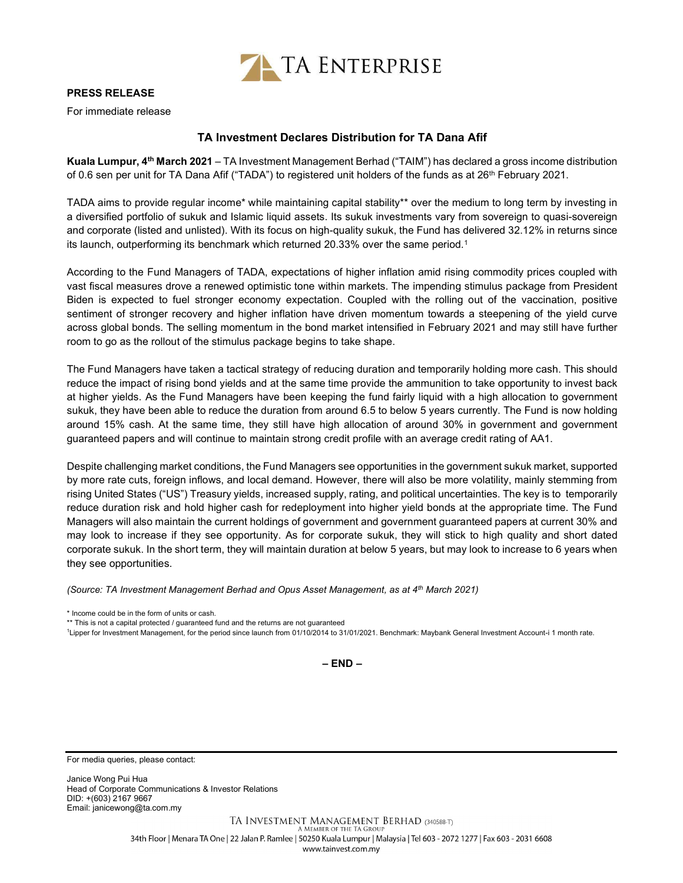

## PRESS RELEASE

For immediate release

## TA Investment Declares Distribution for TA Dana Afif

Kuala Lumpur, 4<sup>th</sup> March 2021 – TA Investment Management Berhad ("TAIM") has declared a gross income distribution of 0.6 sen per unit for TA Dana Afif ("TADA") to registered unit holders of the funds as at 26<sup>th</sup> February 2021.

TADA aims to provide regular income\* while maintaining capital stability\*\* over the medium to long term by investing in a diversified portfolio of sukuk and Islamic liquid assets. Its sukuk investments vary from sovereign to quasi-sovereign and corporate (listed and unlisted). With its focus on high-quality sukuk, the Fund has delivered 32.12% in returns since its launch, outperforming its benchmark which returned 20.33% over the same period.<sup>1</sup>

According to the Fund Managers of TADA, expectations of higher inflation amid rising commodity prices coupled with vast fiscal measures drove a renewed optimistic tone within markets. The impending stimulus package from President Biden is expected to fuel stronger economy expectation. Coupled with the rolling out of the vaccination, positive sentiment of stronger recovery and higher inflation have driven momentum towards a steepening of the yield curve across global bonds. The selling momentum in the bond market intensified in February 2021 and may still have further room to go as the rollout of the stimulus package begins to take shape.

The Fund Managers have taken a tactical strategy of reducing duration and temporarily holding more cash. This should reduce the impact of rising bond yields and at the same time provide the ammunition to take opportunity to invest back at higher yields. As the Fund Managers have been keeping the fund fairly liquid with a high allocation to government sukuk, they have been able to reduce the duration from around 6.5 to below 5 years currently. The Fund is now holding around 15% cash. At the same time, they still have high allocation of around 30% in government and government guaranteed papers and will continue to maintain strong credit profile with an average credit rating of AA1.

Despite challenging market conditions, the Fund Managers see opportunities in the government sukuk market, supported by more rate cuts, foreign inflows, and local demand. However, there will also be more volatility, mainly stemming from rising United States ("US") Treasury yields, increased supply, rating, and political uncertainties. The key is to temporarily reduce duration risk and hold higher cash for redeployment into higher yield bonds at the appropriate time. The Fund Managers will also maintain the current holdings of government and government guaranteed papers at current 30% and may look to increase if they see opportunity. As for corporate sukuk, they will stick to high quality and short dated corporate sukuk. In the short term, they will maintain duration at below 5 years, but may look to increase to 6 years when they see opportunities.

(Source: TA Investment Management Berhad and Opus Asset Management, as at 4th March 2021)

\* Income could be in the form of units or cash.

\*\* This is not a capital protected / guaranteed fund and the returns are not guaranteed

<sup>1</sup>Lipper for Investment Management, for the period since launch from 01/10/2014 to 31/01/2021. Benchmark: Maybank General Investment Account-i 1 month rate.

– END –

For media queries, please contact:

Janice Wong Pui Hua Head of Corporate Communications & Investor Relations DID: +(603) 2167 9667 Email: janicewong@ta.com.my